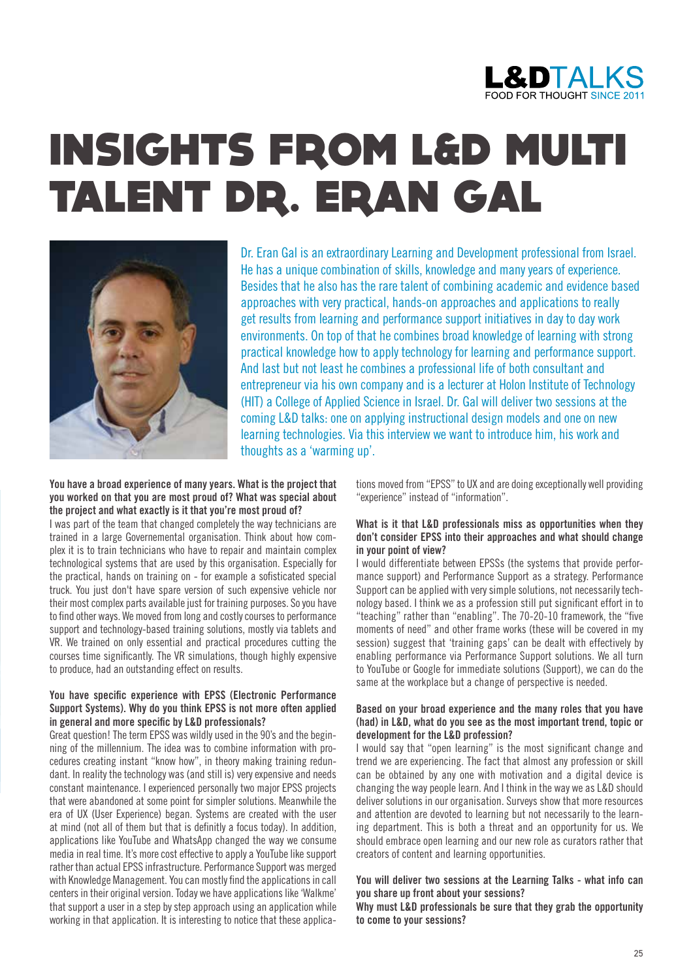

# INSIGHTS FROM L&D MULTI TALENT DR. ERAN GAL



Dr. Eran Gal is an extraordinary Learning and Development professional from Israel. He has a unique combination of skills, knowledge and many years of experience. Besides that he also has the rare talent of combining academic and evidence based approaches with very practical, hands-on approaches and applications to really get results from learning and performance support initiatives in day to day work environments. On top of that he combines broad knowledge of learning with strong practical knowledge how to apply technology for learning and performance support. And last but not least he combines a professional life of both consultant and entrepreneur via his own company and is a lecturer at Holon Institute of Technology (HIT) a College of Applied Science in Israel. Dr. Gal will deliver two sessions at the coming L&D talks: one on applying instructional design models and one on new learning technologies. Via this interview we want to introduce him, his work and thoughts as a 'warming up'.

#### **You have a broad experience of many years. What is the project that you worked on that you are most proud of? What was special about the project and what exactly is it that you're most proud of?**

I was part of the team that changed completely the way technicians are trained in a large Governemental organisation. Think about how complex it is to train technicians who have to repair and maintain complex technological systems that are used by this organisation. Especially for the practical, hands on training on - for example a sofisticated special truck. You just don't have spare version of such expensive vehicle nor their most complex parts available just for training purposes. So you have to find other ways. We moved from long and costly courses to performance support and technology-based training solutions, mostly via tablets and VR. We trained on only essential and practical procedures cutting the courses time significantly. The VR simulations, though highly expensive to produce, had an outstanding effect on results.

### **You have specific experience with EPSS (Electronic Performance Support Systems). Why do you think EPSS is not more often applied in general and more specific by L&D professionals?**

Great question! The term EPSS was wildly used in the 90's and the beginning of the millennium. The idea was to combine information with procedures creating instant "know how", in theory making training redundant. In reality the technology was (and still is) very expensive and needs constant maintenance. I experienced personally two major EPSS projects that were abandoned at some point for simpler solutions. Meanwhile the era of UX (User Experience) began. Systems are created with the user at mind (not all of them but that is definitly a focus today). In addition, applications like YouTube and WhatsApp changed the way we consume media in real time. It's more cost effective to apply a YouTube like support rather than actual EPSS infrastructure. Performance Support was merged with Knowledge Management. You can mostly find the applications in call centers in their original version. Today we have applications like 'Walkme' that support a user in a step by step approach using an application while working in that application. It is interesting to notice that these applications moved from "EPSS" to UX and are doing exceptionally well providing "experience" instead of "information".

### **What is it that L&D professionals miss as opportunities when they don't consider EPSS into their approaches and what should change in your point of view?**

I would differentiate between EPSSs (the systems that provide performance support) and Performance Support as a strategy. Performance Support can be applied with very simple solutions, not necessarily technology based. I think we as a profession still put significant effort in to "teaching" rather than "enabling". The 70-20-10 framework, the "five moments of need" and other frame works (these will be covered in my session) suggest that 'training gaps' can be dealt with effectively by enabling performance via Performance Support solutions. We all turn to YouTube or Google for immediate solutions (Support), we can do the same at the workplace but a change of perspective is needed.

#### **Based on your broad experience and the many roles that you have (had) in L&D, what do you see as the most important trend, topic or development for the L&D profession?**

I would say that "open learning" is the most significant change and trend we are experiencing. The fact that almost any profession or skill can be obtained by any one with motivation and a digital device is changing the way people learn. And I think in the way we as L&D should deliver solutions in our organisation. Surveys show that more resources and attention are devoted to learning but not necessarily to the learning department. This is both a threat and an opportunity for us. We should embrace open learning and our new role as curators rather that creators of content and learning opportunities.

# **You will deliver two sessions at the Learning Talks - what info can you share up front about your sessions?**

**Why must L&D professionals be sure that they grab the opportunity to come to your sessions?**